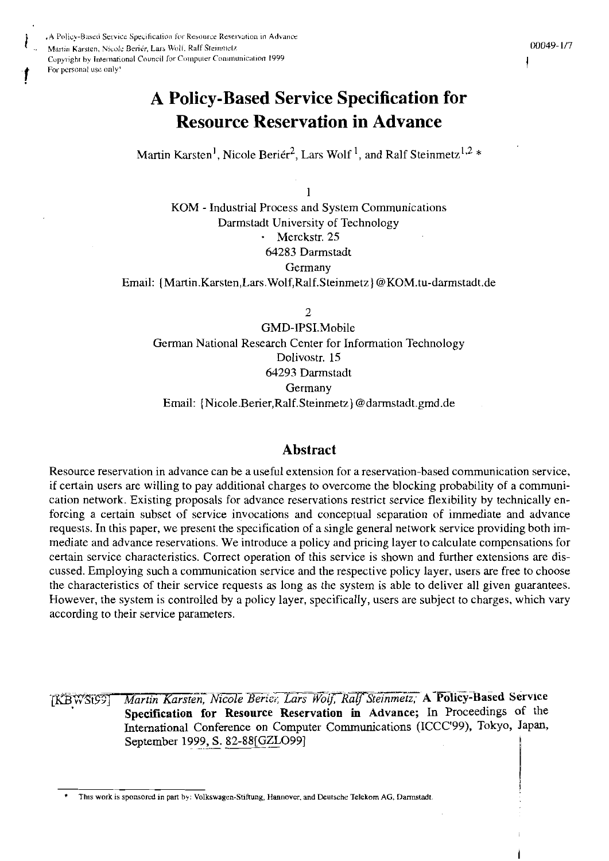A Policy-Based Service Specification for Resource Reservation in Advance Martin Karsten, Nicole Berier, Lars Wolf. Ralf Steinmetz Copyright by International Council for Computer Communication 1999 For personal use only!

# **A Policy-Based Service Specification for Resource Reservation in Advance**

Martin Karsten<sup>1</sup>, Nicole Beriér<sup>2</sup>, Lars Wolf<sup>1</sup>, and Ralf Steinmetz<sup>1,2</sup> \*

1 KOM - Industrial Process and System Communications Darmstadt University of Technology Merckstr. 25 64283 Darmstadt Germany Email: [Martin.Karsten,Lars.Wolf,Ralf.Steinmetz] @KOM.tu-darmstadt.de

 $\overline{2}$ 

GMD-IPSI.Mobile German National Research Center for Information Technology Dolivostr. 15 64293 Darmstadt Germany Email: {Nicole Berier, Ralf. Steinmetz} @darmstadt.gmd.de

# **Abstract**

Resource reservation in advance can be a useful extension for a reservation-based communication service, if certain users are willing to pay additional charges to overcome the blocking probability of a communication network. Existing proposals for advance reservations restrict service flexibility by technically enforcing a certain subset of service invocations and conceptual separation of immediate and advance requests. In this paper, we present the specification of a single general network service providing both immediate and advance reservations. We introduce a policy and pricing layer to calculate compensations for certain service characteristics. Correct operation of this service is shown and further extensions are discussed. Employing such a communication service and the respective policy layer, users are free to choose the characteristics of their service requests as long as the system is able to deliver all given guarantees. However, the system is controlled by a policy layer, specifically, users are subject to charges, which vary according to their service parameters.

Martin Karsten, Nicole Berier, Lars Wolf, Ralf Steinmetz; A Policy-Based Service TKBWS199T Specification for Resource Reservation in Advance; In Proceedings of the International Conference on Computer Communications (ICCC'99), Tokyo, Japan, September 1999, S. 82-88[GZLO99]

This work is sponsored in part by: Volkswagen-Stiftung, Hannover, and Deutsche Telekom AG, Darmstadt.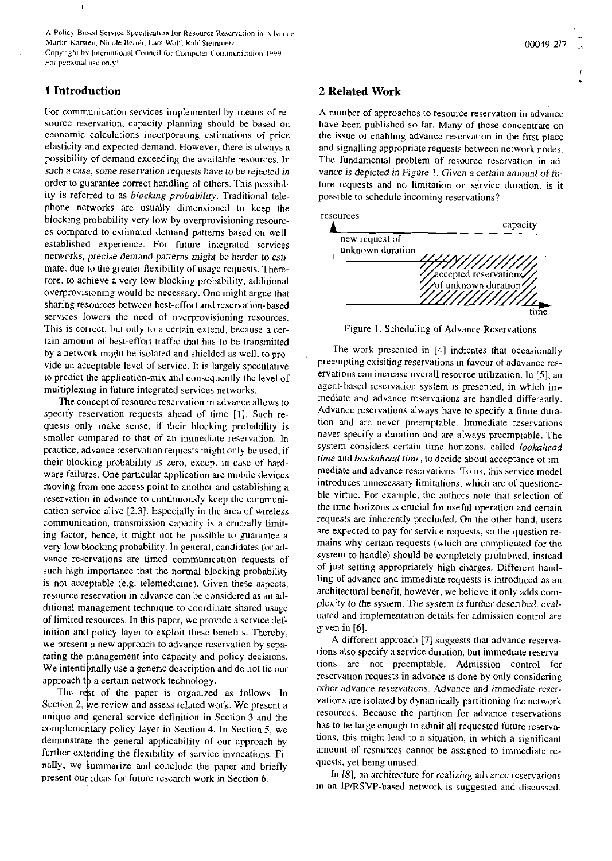A Policy-Based Service Specification for Resource Reservation in Advance Martin Karsten, Nicole Berier, Lars Wolf, Ralf Steinmetz Copyright by International Council for Computer Communication 1999 For personal use only!

## 1 Introduction

ŀ

For communication services implemented by means of resource reservation, capacity planning should be based on economic calculations incorporating estimations of price elasticity and expected demand. However, there is always a possibility of demand exceeding the available resources. In such a case, some reservation requests have to be rejected in order to guarantee correct handling of others. This possibility is referred to as *blocking probability*. Traditional telephone networks are usually dimensioned to keep the blocking probability very low by overprovisioning resources compared to estimated demand patterns based on wellestablished experience. For future integrated services networks, precise demand patterns might be harder to estimate, due to the greater flexibility of usage requests. Therefore, to achieve a very low blocking probability, additional overprovisioning would be necessary. One might argue that sharing resources between best-effort and reservation-based services lowers the need of overprovisioning resources. This is correct, but only to a certain extend, because a certain amount of best-effort traffic that has to be transmitted by a network might be isolated and shielded as well, to provide an acceptable level of service. It is largely speculative to predict the application-mix and consequently the level of multiplexing in future integrated services networks.

The concept of resource reservation in advance allows to specify reservation requests ahead of time [1]. Such requests only make sense, if their blocking probability is smaller compared to that of an immediate reservation. In practice, advance reservation requests might only be used, if their blocking probability is zero, except in case of hardware failures. One particular application are mobile devices moving from one access point to another and establishing a reservation in advance to continuously keep the communication service alive  $[2,3]$ . Especially in the area of wireless communication, transmission capacity is a crucially limiting factor, hence, it might not be possible to guarantee a very low blocking probability. In general, candidates for advance reservations are timed communication requests of such high importance that the normal blocking probability is not acceptable (e.g. telemedicine). Given these aspects, resource reservation in advance can be considered as an additional management technique to coordinate shared usage of limited resources. In this paper, we provide a service definition and policy layer to exploit these benefits. Thereby, we present a new approach to advance reservation by separating the management into capacity and policy decisions. We intentipnally use a generic description and do not tie our approach to a certain network technology.

The rest of the paper is organized as follows. In Section 2, we review and assess related work. We present a unique and general service definition in Section 3 and the complementary policy layer in Section 4. In Section 5, we demonstrate the general applicability of our approach by further extending the flexibility of service invocations. Finally, we summarize and conclude the paper and briefly present our ideas for future research work in Section 6.

## 2 Related Work

A number of approaches to resource reservation in advance have been published so far. Many of these concentrate on the issue of enabling advance reservation in the first place and signalling appropriate requests between network nodes. The fundamental problem of resource reservation in advance is depicted in Figure 1. Given a certain amount of future requests and no limitation on service duration, is it possible to schedule incoming reservations?



Figure 1: Scheduling of Advance Reservations

The work presented in [4] indicates that occasionally preempting exisiting reservations in favour of adavance reservations can increase overall resource utilization. In [5], an agent-based reservation system is presented, in which immediate and advance reservations are handled differently. Advance reservations always have to specify a finite duration and are never preemptable. Immediate reservations never specify a duration and are always preemptable. The system considers certain time horizons, called lookahead time and bookahead time, to decide about acceptance of immediate and advance reservations. To us, this service model introduces unnecessary limitations, which are of questionable virtue. For example, the authors note that selection of the time horizons is crucial for useful operation and certain requests are inherently precluded. On the other hand, users are expected to pay for service requests, so the question remains why certain requests (which are complicated for the system to handle) should be completely prohibited, instead of just setting appropriately high charges. Different handling of advance and immediate requests is introduced as an architectural benefit, however, we believe it only adds complexity to the system. The system is further described, evaluated and implementation details for admission control are given in [6].

A different approach [7] suggests that advance reservations also specify a service duration, but immediate reservations are not preemptable. Admission control for reservation requests in advance is done by only considering other advance reservations. Advance and immediate reservations are isolated by dynamically partitioning the network resources. Because the partition for advance reservations has to be large enough to admit all requested future reservations, this might lead to a situation, in which a significant amount of resources cannot be assigned to immediate requests, yet being unused.

In [8], an architecture for realizing advance reservations in an IP/RSVP-based network is suggested and discussed.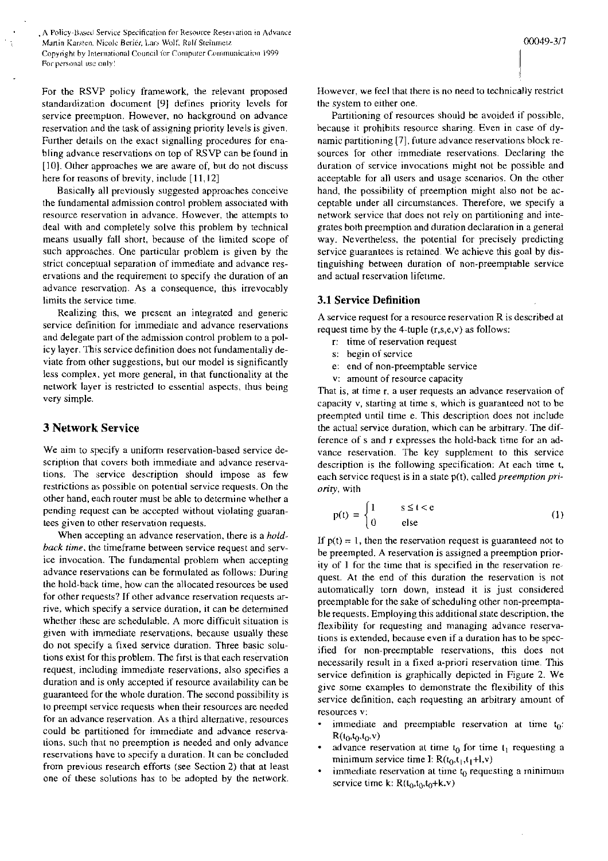A Policy-Based Service Specification for Resource Reservation in Advance Martin Karsten, Nicole Beriér, Lars Wolf, Ralf Steinmetz Copyright by International Council for Computer Communication 1999 For personal use only!

For the RSVP policy framework, the relevant proposed standardization document [9] defines priority levels for service preemption. However, no hackground on advance reservation and the task of assigning prionty levels is given. Further details on the exact signalling procedures for enabling advance reservations on top of RSVP can be found in  $[10]$ . Other approaches we are aware of, but do not discuss here for reasons of brevity, include [11,12]

Basically all previously suggested approaches conceive the fundamental admission control problem associated with resource reservation in advance. However, the attempts to deal with and completely solve this problem by technical means usually fall short, because of the limited scope of such approaches. One particular prohlem is given by the strict conceptual Separation of immediate and advance reservations and the requirement to specify the duration of an advance reservation. As a consequence, this irrevocably limits the service time.

Realizing this, we present an integrated and generic service definition for immediate and advance reservations and delegate part of the admission control prohlem to a policy layer. This service definition does not fundamentally deviate from oiher suggestions, hut our model is significantly less complex. yet more general, in that functionality at the network layer is restricted to essential aspects, ihus being very simple.

## **3 Network Service**

We aim to specify a uniform reservation-based service description that covers both immediate and advance reservations. The service description should impose as few restrictions as possible on potential service requests. On the other hand. each router must be ahle to determine whelher a pending request can **be** accepted without violating guarantees given to other reservation requests.

When accepting an advance reservation, there is a *holdback* time. the timeframe hetween service request and service invocation. The fundamental prohlem when accepting advance reservations can be formulated as follows: During the hold-back time, how can the allocated resources be used for other requests? If other advance reservation requests **ar**rive, which specify a service duration, it can be determined whether these are schedulable. A more difficult situation is given with immediate reservations, hecause usually these do not specify a fixed service duration. Three basic solutions exist for this problem. The first is that each reservaiion request, including immediate reservations, also specifies a duration and is only accepted if resource availahility can be guaranteed for the whole duration. The second possibility is 10 preempt service requests when their resources are needed for an advance reservation. As a third alternative, resources could be pariitioned for immediate and advance reservations, such that no preemption is needed and only advance reservations have to specify a duration 11 can he concluded from previous research efforts (see Section 2) that at least one of these solutions has to be adopted by the network. However, we feel that there is no need to technically resrricl the system to either one.

Partitioning of resources should be avoided if possihle, because it prohibits resource sharing. Even in case of dynamic partitioning [7], future advance reservations block resources for other immediate reservations. Declaring the duration of service invocations might not be possible and aceeptahle for all Users and usage scenarios. On the other hand, the possibility of preemption might also not be acceptable under all circumstances. Therefore, we specify a network service that does not rely on partitioning and integrales both preemption and duration declaraiion in a general way. Nevertheless, the potential for precisely predicting service guarantees is retained. We achieve this goal by distinguishing between duration of non-preemptable service and actual reservation lifetime.

## **3.1 Service Definition**

A service request for a resource reservation R is described at request time by the 4-tuple (r,s,e,v) as follows:

- r: time of reservation request
- s: begin of service
- e: end of non-preemptahle service
- V: amount of resource capacity

That is, at time r, a user requests an advance reservation of capacity V, starting at time s, which is guaranteed not to be preempted until time e. This description does not include the actual service duration, which can be arbitrary. The difference of s and r expresses the hold-hack time for an advance reservation. The key Supplement to this service description is the following specification: At each time t, each service request is in a state p(t), called *preemption pri*ority, with

$$
p(t) = \begin{cases} 1 & s \le t < e \\ 0 & else \end{cases}
$$
 (1)

If  $p(t) = 1$ , then the reservation request is guaranteed not to be preempted. A reservation is assigned a preemption priority of  $1$  for the time that is specified in the reservation request. At the end of this duration the reservation is not automatically torn down, instead it is just considered preempiahle for the sake of scheduling other non-preemptahle requests. Employing this additional siate description. the flexibility for requesting and managing advance reservations is extended, because even if a duration has to be specified for non-preemptable reservations, this does not necessarily result in a fixed a-priori reservation time. This service definition is graphically depicted in Figure 2. We give some examples to demonstrate the flexibility of this service definition, each requesting an arbitrary amount of resources V:

- immediate and preemptable reservation at time  $t_0$ :  $R(t_0,t_0,t_0,v)$
- advance reservation at time  $t_0$  for time  $t_1$  requesting a minimum service time I:  $R(t_0, t_1, t_1+1, v)$
- immediate reservation at time  $t_0$  requesting a minimum service time k:  $R(t_0, t_0, t_0+k, v)$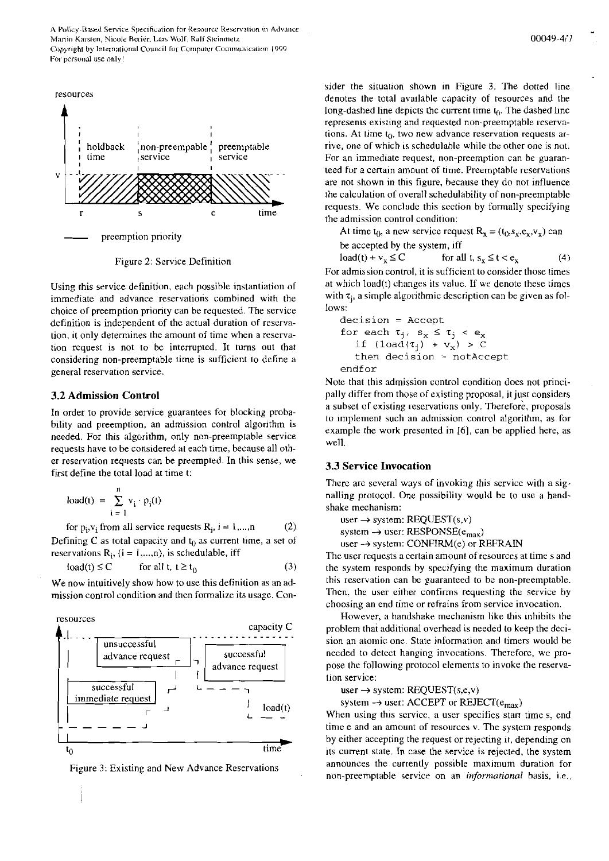A Policy-Based Service Specification for Resource Reservation in Advance Martin Karsten, Nicole Beriér, Lars Wolf, Ralf Steinmetz Copyright by International Council for Computer Communication 1999 For personal use only!



Figure **2:** Service Definition

Using this service definition, each possible instantiation of immediate and advance reservations combined with the choice of preemption priority can be requested. The service definition is independent of the actual duration of reservation, it only detemiines the amount of time when a reservation request is not to he interrupted. It lurns out that considering non-preemptable time is sufficient to define a general reservation service.

#### **3.2 Admission Control**

In order to provide service guarantees for blocking probability and preemption, an admission control algorithm is needed. For this algorithm, only non-preemptable service requests have tobe considered at each time, because all other reservation requests can he prcempted. In this sense, we first define the total load at time t:

$$
load(t) = \sum_{i=1}^{n} v_i \cdot p_i(t)
$$

for  $p_i, v_i$  from all service requests  $R_i$ ,  $i = 1,...,n$  (2) Defining C as total capacity and  $t_0$  as current time, a set of reservations  $R_i$ , (i = 1,...,n), is schedulable, iff

$$
load(t) \le C \qquad \text{for all } t, t \ge t_0 \tag{3}
$$

We now intuitively show how to use this definition as an admission control condition and then formalize its usage. Con-



Figure 3: Existing and New Advance Reservations

sider the siruation shown in Figure 3. The dotted line denotes the total availahle capacity of resources and rhe long-dashed line depicts the current time  $t_0$ . The dashed line represents existing and requested non-preemptable reservations. At time  $t_0$ , two new advance reservation requests arrive, one of which is schedulahle while the other one is not. For an immediate request, non-preemption can be guaranteed for a certain amount of time. Preemptable reservations are not shown in this figure, hecause they do not influence the calculation of overall schedulability of non-preemptablc requests. We conclude this section by formally specifying the admission control condition:

At time  $t_0$ , a new service request  $R_x = (t_0, s_x, e_x, v_x)$  can be accepted hy the system, iff

$$
load(t) + v_x \le C \qquad \text{for all } t, s_x \le t < e_x \tag{4}
$$

For admission control, it is sufficient to consider those times at which load(t) changes its value. If we denote these times with  $\tau_i$ , a simple algorithmic description can be given as follows:

**decision** = **Accept**  for each  $\tau_j$ ,  $s_x \leq \tau_j$  <  $e_y$ **if**  $(load(\tau_j) + \nu_x) > C$ **then decision** = **notAccept endfor** 

Note that this admission control condition does not principally differ from those of existing proposal. it jusr considers a subset of existing reservations only. Therefore, proposals to implement such an admission control algorithm, as for example the work presented in [6], can be applied here, as well.

## **3.3 Service Invocation**

There are several ways of invoking this servicc with a signalling protocol. One possibility would be to use a handshake mechanism:

user  $\rightarrow$  system: REQUEST(s,v)

system  $\rightarrow$  user: RESPONSE( $e_{max}$ )

user  $\rightarrow$  system: CONFIRM(e) or REFRAIN

The User requests a certain amount of resources at time s and the system responds by specifying the maximum duration this reservation can **be** guaranteed to be non-preemptable. Then, the user either confirms requesting the service by choosing an end time or refrains from service invocation.

However, a handshake mechanism like this inhibits the problem thai additional overhead is needed to keep the dccision an atomic one. State information and timers would be needed to detect hanging invocations. Therefore, we propose Ihe following protocol elements to invoke the rescrvation service:

#### user  $\rightarrow$  system: REQUEST(s,e,v)

system  $\rightarrow$  user: ACCEPT or REJECT( $e_{\text{max}}$ )

When using this service, a user specifies stan time s, end time e and an amount of resources v. The system responds by either accepting the request or rejecting it; depending on its current state. In case the service is rejected, the system announces the currently possthle maximum duration for non-preemptable service on an *informational* basis, i.e.,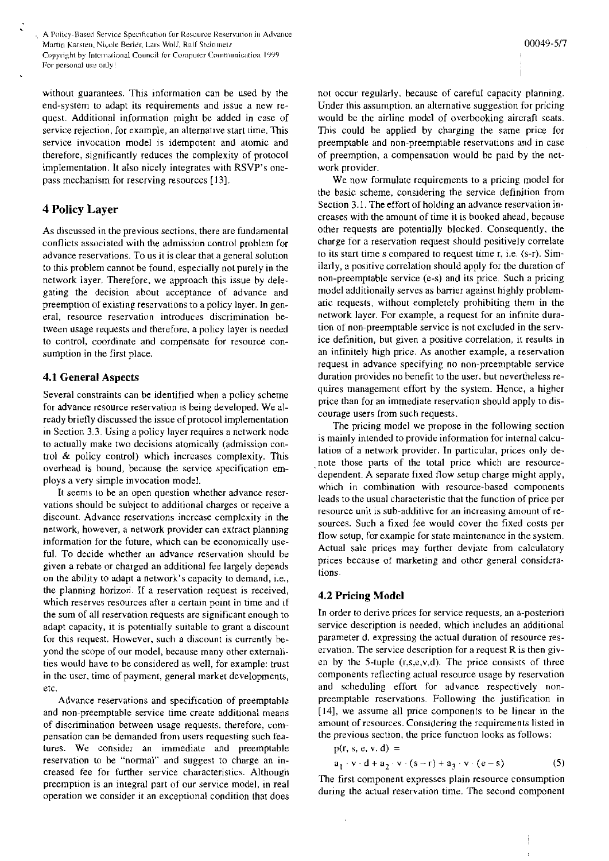A Policy-Based Service Specification for Resource Reservation in Advance Martin Karsten, Nicole Berier, Lars Wolf, Raff Steinmetz Copyright by International Council for Computer Communication 1999 For personal use only!

without guarantees. This information can be used by the end-system to adapt its requirements and issue a new request. Additional information might be added in case of service rejection, for example, an alternative start time. This service invocation model is idempotent and atomic and therefore, significantly reduces the complexity of protocol implementation. It also nicely integrales with RSVP's onepass mechanism for reserving resources [13].

## **4 Policy Layer**

As discussed in the previous sections, there are fundamental contlicts associated with the admission control problem for advance reservations. To us it is clear that a general solution to this problem cannot be found, especially not purely in the network layer. Therefore, we approach this issue by delegating the decision about acceptance of advance and preemption of existing reservations to a policy layer. In general, resource reservation introduces discrimination between usage requests and therefore. a policy layer is needed to control, coordinate and compensate for resource consumption in the first place.

## **4.1 General Aspects**

Several constraints can he identified when a policy scheme for advance resource reservation is being developed. We already briefly discussed the issue of protocol implementation in Section **3.3.** Using a policy layer requires a network node to actually make two decisions atomically (admission control & policy control) which increases complexity. This overhead is bound, hecause the service specification employs a very simple invocation model.

It seems to be an open question whether advance reservations should be suhject to additional charges or receive a discount. Advance reservations increase complexity in the network, however, a network provider can extract planning information for the future, which can be economically uscful. To decide whether an advance reservation should be given a rebate or charged an additional fee largely depends on the ability to adapt a network's capacity to demand, i.e., the planning horizon. If a reservation request is received, which reserves resources after a certain point in time and if the sum of all reservation requests are significant enough to adapt capacity, it is potentially suitahle to grant a discount for this request. However, such a discount is currently beyond the scope of our model, hecause many other extemalities would have to be considered as well, for example: trust in the user, time of payment, general market developments, etc.

Advance reservations and specification of preemptable and non-preemptable service time create additional means of discrimination between usage requests. therefore, compensation can be demanded from users requesting such features. We oonsider an immediate and preemptable reservation be "normal" and suggest to charge an increased fee for further service characteristics. Although preemption is an integral part of our service model, in real operation we consider it an exceptional condition that does

not occur regularly, because of careful capacity planning. Under this assuniption. an alternative suggestion for pricing would be the airline model of overhooking aircraft seats. This could be applied by charging the same price for preemptahle and non-preemptable rescrvations mid in case of preemption, a compensation would be paid by the network provider.

We now formulate requirements to a pricing model for the basic scheme, considering the service definition from Section 3.1. The effort of holding an advance reservation increases with the amount of time it is hooked ahead, because other requests are potentially blocked. Consequently, the charge for a reservation request should positively correlate to its start time s compared to request time r, i.e. (s-r). Similarly, a positive correlation should apply for tbe duration of non-preemptable service (e-s) and its price. Such a pricing model additionally serves as barrier against highly problematic requests, without eompletely prohibiting them in the network layer. For example, a request for an infinite duration of non-preemptable service is not excluded in the service definition, but given a positive correlation, it results in an infinitely high price. As another example, a reservation request in advance specifying no non-preemptable service duration provides no benefit to the user. but neveriheless requires management effort by the system. Hence, a higher price than for an immediate reservation should apply ro dis-Courage users from such requests.

The pricing model we propose in the following section is mainly intended to providc information for intemal calculation of a network provider. In particular, prices only denote those parts of the total price which are resourcedependent. A separate fixed flow setup charge might apply. which in combination with resource-hased components leads to the usual characteristic that the function of price per resource unit is sub-additive for an increasing amount of resources. Such a fixed fee would cover the fixed costs per flow setup, for example for state maintenance in the system. Actual sale prices may further deviate from calculatory prices because of marketing and other general considerations.

#### **4.2 Pricing Model**

In order to derive prices for service requests, an a-posteriori service description is needed, which includes an additional Parameter d. expressing the actual duration of resource reservation. The service description for a request  $R$  is then given by the 5-tuple  $(r,s,e,v,d)$ . The price consists of three components reflecting actual resource usage by reservation and scheduling effort for advance respectively nonpreemptable reservations Following the justification in (141, we assume all price components to be linear in the amount of resources. Considering the requirements listed in the previous section, the price function looks as follows:

p(r, s, e, v, d) =  
\n
$$
a_1 \cdot v \cdot d + a_2 \cdot v \cdot (s-r) + a_3 \cdot v \cdot (e-s)
$$
 (5)

The first component expresses plain resource consumption during the actual reservation time. The second component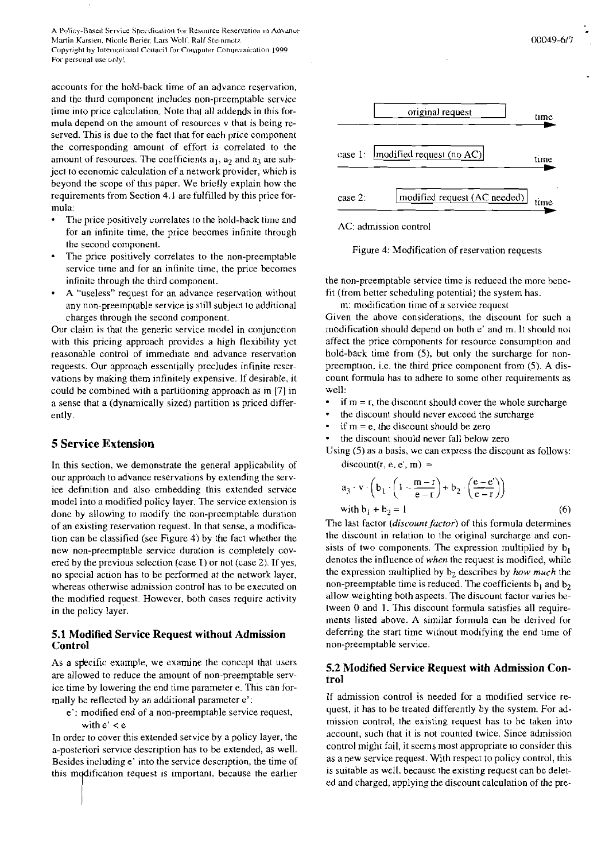A Policy-Based Service Specification for Resource Reservation in Advance Martin Karsten, Nicole Beriér, Lars Wolf, Ralf Steinmetz Copyright by International Council for Countager Communication 1999 For personal use only!

accounts for the hold-back time of an advance reservation. and the third component includes non-preemptable service time into price calculation. Note that all addends in this formula depend on the amount of resources v that is being reserved. This is due to the fact that for each price component the corresponding amount of effort is correlated to the amount of resources. The coefficients  $a_1$ ,  $a_2$  and  $a_3$  are subject to economic calculation of a network provider, which is beyond the scope of this paper. We briefly explain how the requirements from Section 4.1 are fulfilled by this price formula:

- The price positively correlates to the hold-back time and for an infinite time, the price becomes infinite through the second component.
- The price positively correlates to the non-preemptable service time and for an infinite time, the price becomes infinite through the third component.
- A "useless" request for an advance reservation without any non-preemptable service is still subject to additional charges through the second component.

Our claim is that the generic service model in conjunction with this pricing approach provides a high flexibility yet reasonable control of immediate and advance reservation requests. Our approach essentially precludes infinite reservations by making them infinitely expensive. If desirable, it could be combined with a partitioning approach as in [7] in a sense that a (dynamically sized) partition is priced differently.

## **5 Service Extension**

In this section, we demonstrate the general applicability of our approach to advance reservations by extending the service definition and also embedding this extended service model into a modified policy layer. The service extension is done by allowing to modify the non-preemptable duration of an existing reservation request. In that sense, a modification can be classified (see Figure 4) by the fact whether the new non-preemptable service duration is completely covered by the previous selection (case I) or not (case 2). If yes, no special action has to be performed at the network layer, whereas otherwise admission control has to be executed on the modified request. However, both cases require activity in the policy layer.

## **5.1 Modified Service Request without Admission Control**

As a specific example, we examine the concept that users are allowed to reduce the amount of non-preemptable service time by lowering the end time parameter e. This can formally be reflected by an additional parameter e':

e': modified end of a non-preemptable service request, with  $e' < e$ 

In order to cover this extended service by a policy layer, the a-posteriori service description has to be extended, as well. Besides including e' into the service description, the time of this modification request is important, because the earlier



#### AC: admission control

Figure 4: Modification of reservation requests

the non-preemptable service time is reduced the more benefit (from better scheduling potential) the system has.

m: modification time of a service request

Given the above considerations, the discount for such a modification should depend on both e' and m. It should not affect the price components for resource consumption and hold-back time from (5), but only the surcharge for nonpreemption, i.e. the third price component from (5). A discount formula has to adhere to some other requirements as well:

- if  $m = r$ , the discount should cover the whole surcharge
- the discount should never exceed the surcharge
- if  $m = e$ , the discount should be zero
- the discount should never fall below zero

Using  $(5)$  as a basis, we can express the discount as follows:  $discount(r, e, e', m) =$ 

$$
a_3 \cdot v \cdot \left(b_1 \cdot \left(1 - \frac{m-r}{e-r}\right) + b_2 \cdot \left(\frac{e-e'}{e-r}\right)\right)
$$
  
with  $b_1 + b_2 = 1$  (6)

The last factor (discount factor) of this formula determines the discount in relation to the original surcharge and consists of two components. The expression multiplied by  $b_1$ denotes the influence of when the request is modified, while the expression multiplied by  $b_2$  describes by how much the non-preemptable time is reduced. The coefficients  $b_1$  and  $b_2$ allow weighting both aspects. The discount factor varies between 0 and 1. This discount formula satisfies all requirements listed above. A similar formula can be derived for deferring the start time without modifying the end time of non-preemptable service.

## 5.2 Modified Service Request with Admission Control

If admission control is needed for a modified service request, it has to be treated differently by the system. For admission control, the existing request has to be taken into account, such that it is not counted twice. Since admission control might fail, it seems most appropriate to consider this as a new service request. With respect to policy control, this is suitable as well, because the existing request can be deleted and charged, applying the discount calculation of the pre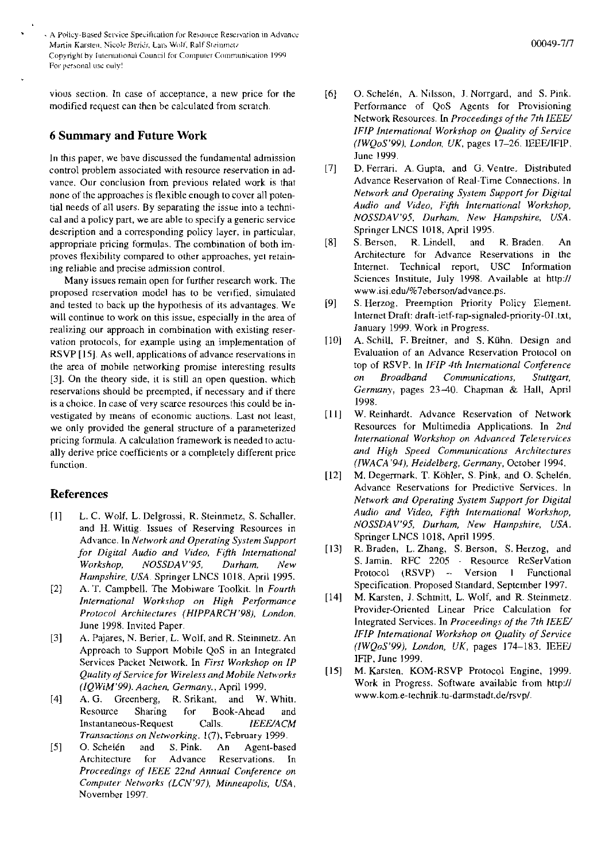A Policy-Based Service Specification for Resource Reservation in Advance Martin Karsten, Nicole Beriér, Lars Wolf, Ralf Steinmetz Copyright by Juternational Council for Computer Communication 1999 For personal use only!

vious section. In case of acceptance, a new price for the modified request can then be calculated from sciatch.

## **6 Summary and Future Work**

In this paper, we bave discussed the fundamental admission control probiem associated with resource reservation in advance. Our conclusion from previous related work is that none of the approaches is flexible enough to cover all potential needs of all users. By separating the issue into a technical and a policy part. we are able to specify a generic service description and a corresponding policy layer, in particular, appropriate pricing formulas. The combination of both improves tlexibility compared to other approaches, yei retaining reliable and precise admission control.

Many issues remain open for further research work. The proposed reservation model has to be verified, simulated and tested to back up the hypothesis of its advantages. We will continue to work on this issue, especially in the area of realizing our approach in combination with existing reservation protocols, for example using an implementation of RSVP [IS]. As well, applications of advance reservations in the area of mobile networking promise interesting results 131. On the theory side, it is still an Open question. which reservations should be preempted, if necessary and if there is a choice. In case of very scarce resources this could be investigated by means of economic auctions. Last not least, we only provided the general structure of a pararnetenzed pricing formula. A calculation framework is needed to actually derive price coefficients or a completely different price function.

## **References**

- [I] L. **Cl.** Wolf, L. Delgrossi, R. Steinmetz, S. Schaller. and H. Wittig. Issues of Reserving Resources in Advance. In *Neiwork and Operaiing System Support for Digital Audio and Video, Fifth International Workshop, NOSSDAV'95, Durham, New Hampshire. USA.* Springer LNCS 1018. April 1995.
- [2] A. T. Campbell. The Mobiware Toolkit. In *Fourth* International Workshop on High Performance *Protocol Architecturex (HIPPARCH'PX), London.*  June 1998. Invited Paper.
- 131 A. Pajares, N. Berier, L. Wolf, and R. Steinmetz. An Approach to Support Mobile QoS in an Integrated Services Packet Network. In *First Workshop on IP Quality of Service for Wireless andMobile Nehorks (IQWiM'99). Aachen. Gennany.,* April 1999.
- 141 **A.** G. Greenberg, R. Srikant, and W. Whiti. Resource Sharing for Book-Ahead and Instantaneous-Request Calls. *IEEWACM Transactions on Networking, 1(7)*, February 1999.
- **[SI** 0. Schelen and S. Pink. An Agent-based Reservations. In Proceedings of IEEE 22nd Annual Conference on *Corripirrer- Nerworks (LCN'97). Minneapolis. USA,*  November 1997.
- O. Schelén, A. Nilsson, J. Norrgard, and S. Pink.  $[6]$ Performance of QoS Agents for Provisioning Network Resources. Ln *Proceedings of the 7th IEEU IFIP Internutinrinl Workshop on Quality of Service (IWQoS'99J. London. UK.* pages 17-26. IEEWIFIP, June 1999.
- $[7]$ D. Ferrari. A. Gupta. and **Ci.** Ventre. Distributed Advance Reservation of Real-Time Connections. In *Neiwork and Operating Systeni Support for Digital Audio and Video, Ftfth Inirrnational Workshop, NOSSDAV'95. ßurhani. New Hanipshire, USA*  Springer LNCS 1018; April 1995.
- $[8]$ S. Berson, R. Lindell, and R. Braden. An Architecture for Advance Reservations in the Internet. Technical report, USC Information Sciences Institute, July 1998. Available at http:// www.isi.edu/%7eberson/advance.ps.
- $[9]$ S. Herzog. Preemption Priority Policy Element. lnternet Draft: draft-ietf-rap-signaled-priority-01 .txt, January 1999. Work in Progress.
- $[10]$ A. Schill, F. Breitner, and S. Kühn. Design and Evaluation of an Advance Reservation Protocol on top of RSVP. In *IFIP 4th Intenrational Conference on Broadband Comniunications, Stuttgart,*  Germany, pages 23-40. Chapman & Hall, April 1998.
- W. Reinhardt. Advance Reservation of Network  $[11]$ Resources for Multimedia Applications. In *2nd International Workshop on Advanced Teleservices arid High Speed Conimunications Architectures (IWACA'94), Heidelberg, Gerinany,* Octoher 1994.
- $[12]$ M. Degermark. T. Köhler, S. Pink, and O. Schelén. Advance Reservations for Predictive Services. In *Network a~id Operating System Support for Digital*  Audio and Video, Fifth International Workshop, *NOSSDAV'95, Durharn, New Harnpshire, USA.*  Springer LNCS 1018, April 1995.
- $[13]$ R. Braden, L. Zhang, S. Berson, S. Herzog, and S. Jamin. RFC 2205 - Resource Reservation Protocol (RSVP) - Version **1** Functional Specification. Proposed Standard. September 1997.
- $[14]$ M. Karsten, J. Schmitt, L. Wolf, and R. Steinmetz. Provider-Oriented Linear Price Calculation for Integrated Services. In *Proceedings of the 7th IEEW IFIP International Workshop on Quality of Service (IWQoS'99). London, UK,* pages 174-183. IEEW IFIP, June 1999.
- M. Karsten. KOM-RSVP Protocol Engine, 1999.  $[15]$ Work in Progress. Software available from http:// **www.kom.e-technik.tu-darmstadt.delrsvp1.**